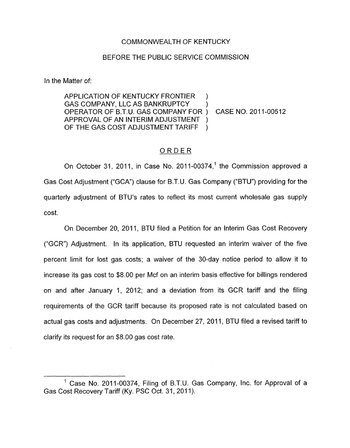#### COMMONWEALTH OF KENTUCKY

#### BEFORE THE PUBLIC SERVICE COMMISSION

In the Matter of:

APPLICATION OF KENTUCKY FRONTIER ) GAS COMPANY, LLC AS BANKRUPTCY OPERATOR OF B.T.U. GAS COMPANY FOR ) APPROVAL OF AN INTERIM ADJUSTMENT OF THE GAS COST ADJUSTMENT TARIFF )

) CASE NO. 2011-00512

### ORDER

On October 31, 2011, in Case No. 2011-00374, $<sup>1</sup>$  the Commission approved a</sup> Gas Cost Adjustment ("GCA") clause for B.T.U. Gas Company ("BTU") providing for the quarterly adjustment of BTU's rates to reflect its most current wholesale gas supply cost.

On December 20, 2011, BTU filed a Petition for an Interim Gas Cost Recovery ("GCR") Adjustment. In its application, BTU requested an interim waiver of the five percent limit for lost gas costs; a waiver of the 30-day notice period to allow it to increase its gas cost to \$8.00 per Mcf on an interim basis effective for billings rendered on and after January 1, 2012; and a deviation from its GCR tariff and the filing requirements of the GCR tariff because its proposed rate is not calculated based on actual gas costs and adjustments. On December 27, 2011, BTU filed a revised tariff to clarify its request for an \$8.00 gas cost rate.

<sup>&</sup>lt;sup>1</sup> Case No. 2011-00374, Filing of B.T.U. Gas Company, Inc. for Approval of a Gas Cost Recovery Tariff (Ky. PSC Oct. 31, 2011).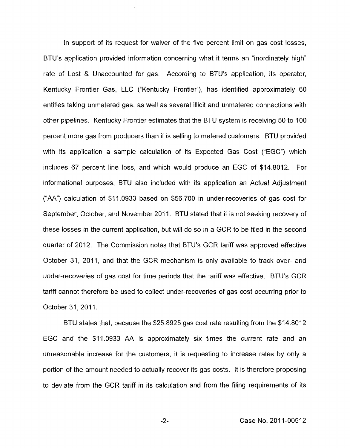In support of its request for waiver of the five percent limit on gas cost losses, BTU's application provided information concerning what it terms an "inordinately high" rate of Lost & Unaccounted for gas. According to BTU's application, its operator, Kentucky Frontier Gas, LLC ("Kentucky Frontier"), has identified approximately 60 entities taking unmetered gas, as well as several illicit and unmetered connections with other pipelines. Kentucky Frontier estimates that the BTU system is receiving 50 to 100 percent more gas from producers than it is selling to metered customers. BTU provided with its application a sample calculation of its Expected Gas Cost ("EGC") which includes 67 percent line loss, and which would produce an EGC of \$14.8012. For informational purposes, BTU also included with its application an Actual Adjustment ("AA") calculation of \$11.0933 based on \$56,700 in under-recoveries of gas cost for September, October, and November 2011. BTU stated that it is not seeking recovery of these losses in the current application, but will do so in a GCR to be filed in the second quarter of 2012. The Commission notes that BTU's GCR tariff was approved effective October 31, 2011, and that the GCR mechanism is only available to track over- and under-recoveries of gas cost for time periods that the tariff was effective. BTU's GCR tariff cannot therefore be used to collect under-recoveries of gas cost occurring prior to October 31, 2011.

BTU states that, because the \$25.8925 gas cost rate resulting from the \$14.8012 EGC and the \$11.0933 AA is approximately six times the current rate and an unreasonable increase for the customers, it is requesting to increase rates by only a portion of the amount needed to actually recover its gas costs. It is therefore proposing to deviate from the GCR tariff in its calculation and from the filing requirements of its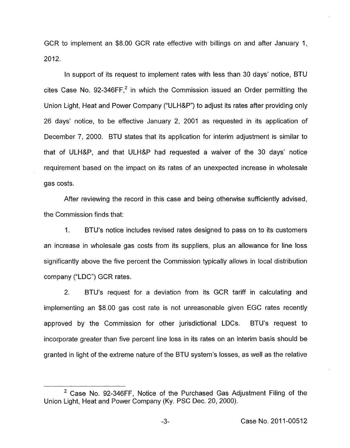GCR to implement an \$8.00 GCR rate effective with billings on and after January 1, 2012.

In support of its request to implement rates with less than 30 days' notice, BTU cites Case No. 92-346FF.<sup>2</sup> in which the Commission issued an Order permitting the Union Light, Heat and Power Company ("ULH&P") to adjust its rates after providing only 26 days' notice, to be effective January 2, 2001 as requested in its application of December 7, 2000. BTU states that its application for interim adjustment is similar to that of ULH&P, and that ULH&P had requested a waiver of the 30 days' notice requirement based on the impact on its rates of an unexpected increase in wholesale gas costs.

After reviewing the record in this case and being otherwise sufficiently advised, the Commission finds that:

1. BTU's notice includes revised rates designed to pass on to its customers an increase in wholesale gas costs from its suppliers, plus an allowance for line loss significantly above the five percent the Commission typically allows in local distribution company ("LDC") GCR rates.

2. BTU's request for a deviation from its GCR tariff in calculating and implementing an \$8.00 gas cost rate is not unreasonable given EGC rates recently approved by the Commission for other jurisdictional LDCs. BTU's request to incorporate greater than five percent line loss in its rates on an interim basis should be granted in light of the extreme nature of the BTU system's losses, as well as the relative

 $2$  Case No. 92-346FF, Notice of the Purchased Gas Adjustment Filing of the Union Light, Heat and Power Company (Ky. PSC Dec. 20, 2000).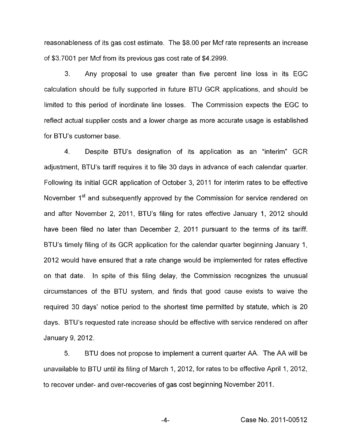reasonableness of its gas cost estimate. The \$8.00 per Mcf rate represents an increase of \$3.7001 per Mcf from its previous gas cost rate of \$4.2999.

3. Any proposal to use greater than five percent line loss in its EGC calculation should be fully supported in future BTU GCR applications, and should be limited to this period of inordinate line losses. The Commission expects the EGC to reflect actual supplier costs and a lower charge as more accurate usage is established for BTU's customer base.

4. Despite BTU's designation of its application as an "interim" GCR adjustment, BTU's tariff requires it to file 30 days in advance of each calendar quarter. Following its initial GCR application of October 3, 2011 for interim rates to be effective November 1<sup>st</sup> and subsequently approved by the Commission for service rendered on and after November 2, 2011, BTU's filing for rates effective January 1, 2012 should have been filed no later than December 2, 2011 pursuant to the terms of its tariff. BTU's timely filing of its GCR application for the calendar quarter beginning January 1, 2012 would have ensured that a rate change would be implemented for rates effective on that date. In spite of this filing delay, the Commission recognizes the unusual circumstances of the BTU system, and finds that good cause exists to waive the required 30 days' notice period to the shortest time permitted by statute, which is 20 days. BTU's requested rate increase should be effective with service rendered on after January 9,2012.

5. BTU does not propose to implement a current quarter AA. The AA will be unavailable to BTU until its filing of March 1, 2012, for rates to be effective April 1, 2012, to recover under- and over-recoveries of gas cost beginning November 2011.

-4- Case No. 201 1-00512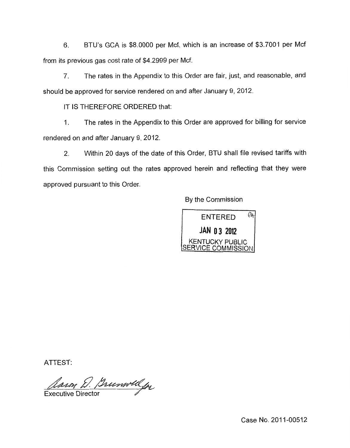**6.** BTU's GCA is \$8.0000 per Mcf, which is an increase of \$3.7001 per Mcf from its previous gas cost rate of \$4.2999 per Mcf.

*7.* The rates in the Appendix to this Order are fair, just, and reasonable, and should be approved for service rendered on and after January 9, 2012.

IT IS THEREFORE ORDERED that:

I. The rates in the Appendix to this Order are approved for billing for service rendered on and after January 9,2012.

2. Within 20 days of the date of this Order, BTU shall file revised tariffs with this Commission setting out the rates approved herein and reflecting that they were approved pursuant to this Order.

By the Commission



ATTEST:

Rain D. Bumblelge

Case No. 2011-00512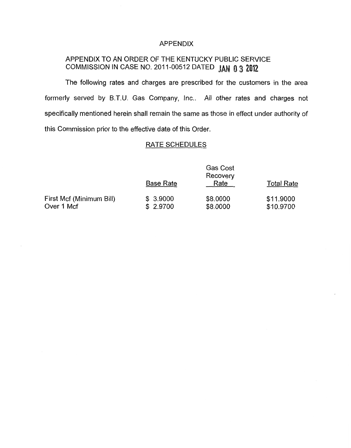#### APPENDIX

# APPENDIX TO AN ORDER OF THE KENTUCKY PUBLIC SERVICE COMMISSION IN CASE NO. 2011-00512 DATED JAN 03 2012

The following rates and charges are prescribed for the customers in the area formerly served by B.T.U. Gas Company, Inc.. All other rates and charges not specifically mentioned herein shall remain the same as those in effect under authority of this Commission prior to the effective date of this Order.

## RATE SCHEDULES

|                                        | <b>Gas Cost</b><br>Recovery |                      |                        |
|----------------------------------------|-----------------------------|----------------------|------------------------|
|                                        | <b>Base Rate</b>            | Rate                 | <b>Total Rate</b>      |
| First Mcf (Minimum Bill)<br>Over 1 Mcf | \$3.9000<br>\$2.9700        | \$8,0000<br>\$8,0000 | \$11.9000<br>\$10.9700 |